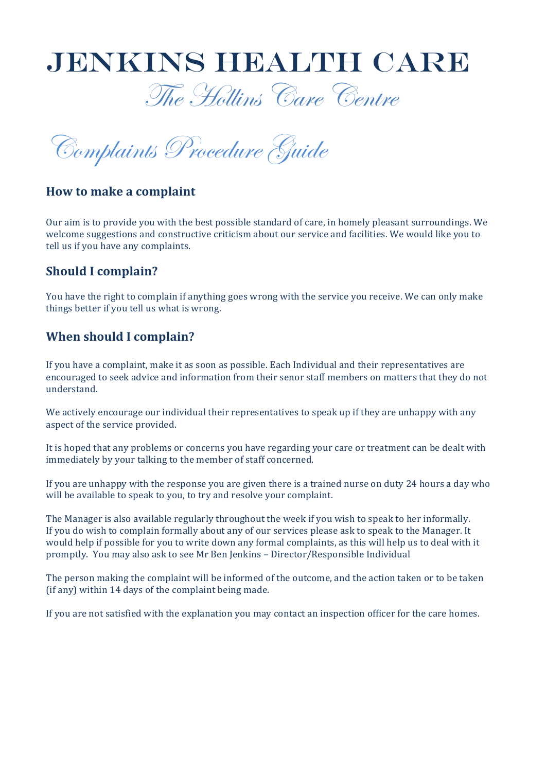

The Hollins Care Centre

Complaints Procedure Guide

### **How to make a complaint**

Our aim is to provide you with the best possible standard of care, in homely pleasant surroundings. We welcome suggestions and constructive criticism about our service and facilities. We would like you to tell us if you have any complaints.

### **Should I complain?**

You have the right to complain if anything goes wrong with the service you receive. We can only make things better if you tell us what is wrong.

## **When should I complain?**

If you have a complaint, make it as soon as possible. Each Individual and their representatives are encouraged to seek advice and information from their senor staff members on matters that they do not understand. 

We actively encourage our individual their representatives to speak up if they are unhappy with any aspect of the service provided.

It is hoped that any problems or concerns you have regarding your care or treatment can be dealt with immediately by your talking to the member of staff concerned.

If you are unhappy with the response you are given there is a trained nurse on duty 24 hours a day who will be available to speak to you, to try and resolve your complaint.

The Manager is also available regularly throughout the week if you wish to speak to her informally. If you do wish to complain formally about any of our services please ask to speak to the Manager. It would help if possible for you to write down any formal complaints, as this will help us to deal with it promptly. You may also ask to see Mr Ben Jenkins - Director/Responsible Individual

The person making the complaint will be informed of the outcome, and the action taken or to be taken (if any) within  $14$  days of the complaint being made.

If you are not satisfied with the explanation you may contact an inspection officer for the care homes.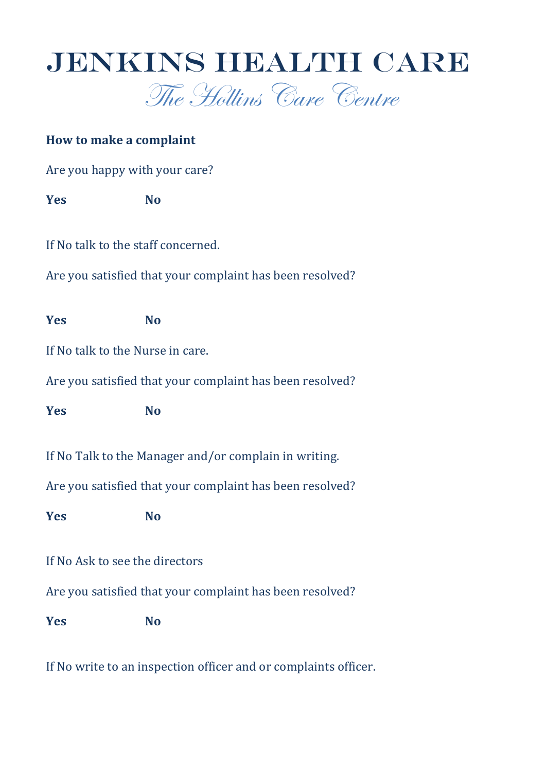

# **How to make a complaint**

Are you happy with your care?

**Yes No**

If No talk to the staff concerned.

Are you satisfied that your complaint has been resolved?

**Yes No**

If No talk to the Nurse in care.

Are you satisfied that your complaint has been resolved?

**Yes No**

If No Talk to the Manager and/or complain in writing.

Are you satisfied that your complaint has been resolved?

**Yes No**

If No Ask to see the directors

Are you satisfied that your complaint has been resolved?

**Yes No**

If No write to an inspection officer and or complaints officer.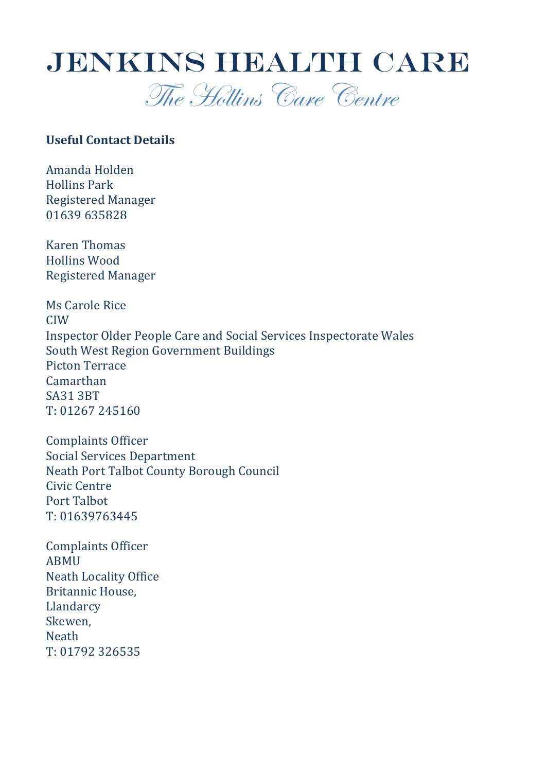

### **Useful Contact Details**

Amanda Holden Hollins Park Registered Manager 01639 635828

Karen Thomas Hollins Wood Registered Manager

Ms Carole Rice CIW Inspector Older People Care and Social Services Inspectorate Wales South West Region Government Buildings Picton Terrace Camarthan SA31 3BT T: 01267 245160

Complaints Officer Social Services Department Neath Port Talbot County Borough Council Civic Centre Port Talbot T: 01639763445

Complaints Officer ABMU Neath Locality Office Britannic House, Llandarcy Skewen, **Neath** T: 01792 326535